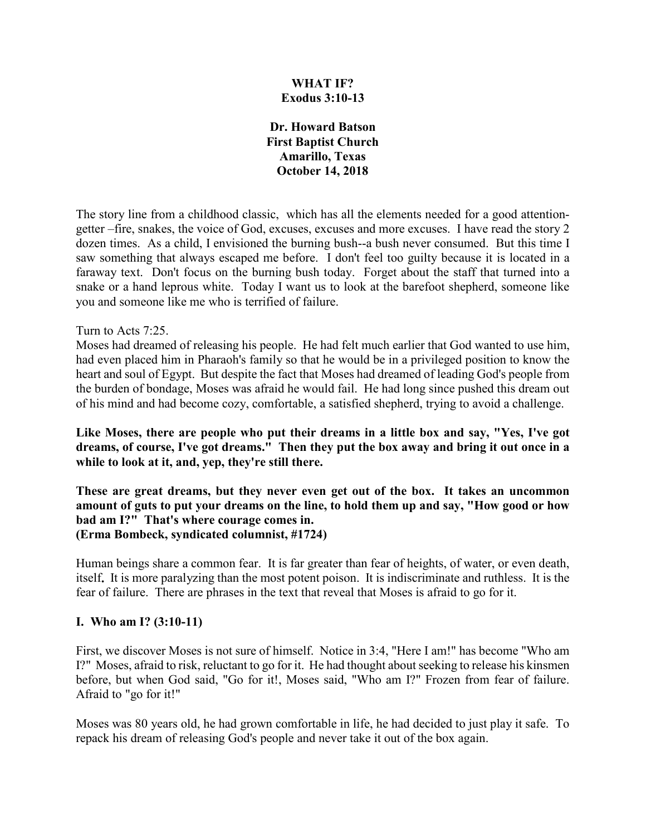## **WHAT IF? Exodus 3:10-13**

**Dr. Howard Batson First Baptist Church Amarillo, Texas October 14, 2018**

The story line from a childhood classic, which has all the elements needed for a good attentiongetter –fire, snakes, the voice of God, excuses, excuses and more excuses. I have read the story 2 dozen times. As a child, I envisioned the burning bush--a bush never consumed. But this time I saw something that always escaped me before. I don't feel too guilty because it is located in a faraway text. Don't focus on the burning bush today. Forget about the staff that turned into a snake or a hand leprous white. Today I want us to look at the barefoot shepherd, someone like you and someone like me who is terrified of failure.

#### Turn to Acts 7:25.

Moses had dreamed of releasing his people. He had felt much earlier that God wanted to use him, had even placed him in Pharaoh's family so that he would be in a privileged position to know the heart and soul of Egypt. But despite the fact that Moses had dreamed of leading God's people from the burden of bondage, Moses was afraid he would fail. He had long since pushed this dream out of his mind and had become cozy, comfortable, a satisfied shepherd, trying to avoid a challenge.

**Like Moses, there are people who put their dreams in a little box and say, "Yes, I've got dreams, of course, I've got dreams." Then they put the box away and bring it out once in a while to look at it, and, yep, they're still there.**

**These are great dreams, but they never even get out of the box. It takes an uncommon amount of guts to put your dreams on the line, to hold them up and say, "How good or how bad am I?" That's where courage comes in. (Erma Bombeck, syndicated columnist, #1724)**

Human beings share a common fear. It is far greater than fear of heights, of water, or even death, itself**.** It is more paralyzing than the most potent poison. It is indiscriminate and ruthless. It is the fear of failure. There are phrases in the text that reveal that Moses is afraid to go for it.

#### **I. Who am I? (3:10-11)**

First, we discover Moses is not sure of himself. Notice in 3:4, "Here I am!" has become "Who am I?" Moses, afraid to risk, reluctant to go for it. He had thought about seeking to release his kinsmen before, but when God said, "Go for it!, Moses said, "Who am I?" Frozen from fear of failure. Afraid to "go for it!"

Moses was 80 years old, he had grown comfortable in life, he had decided to just play it safe. To repack his dream of releasing God's people and never take it out of the box again.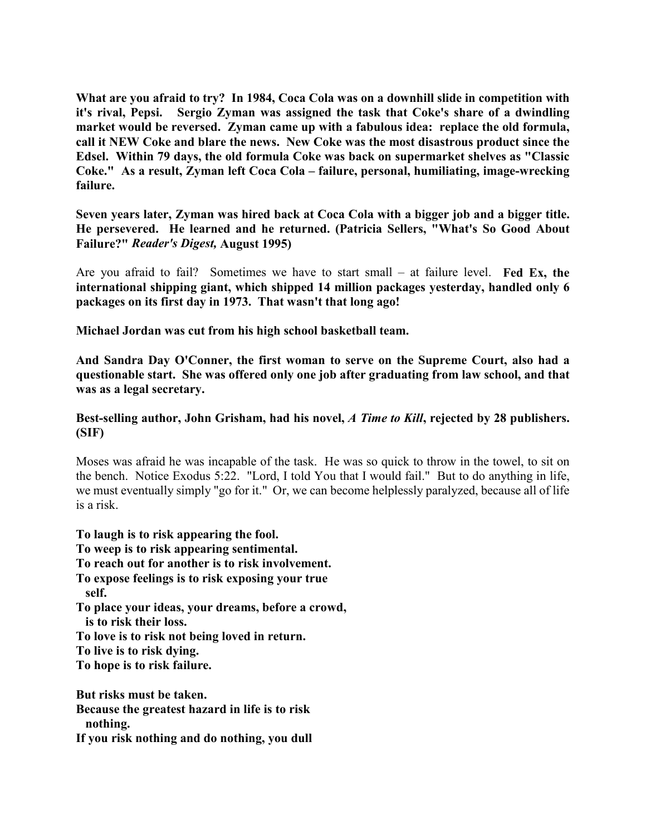**What are you afraid to try? In 1984, Coca Cola was on a downhill slide in competition with it's rival, Pepsi. Sergio Zyman was assigned the task that Coke's share of a dwindling market would be reversed. Zyman came up with a fabulous idea: replace the old formula, call it NEW Coke and blare the news. New Coke was the most disastrous product since the Edsel. Within 79 days, the old formula Coke was back on supermarket shelves as "Classic Coke." As a result, Zyman left Coca Cola – failure, personal, humiliating, image-wrecking failure.**

**Seven years later, Zyman was hired back at Coca Cola with a bigger job and a bigger title. He persevered. He learned and he returned. (Patricia Sellers, "What's So Good About Failure?"** *Reader's Digest,* **August 1995)** 

Are you afraid to fail? Sometimes we have to start small – at failure level. **Fed Ex, the international shipping giant, which shipped 14 million packages yesterday, handled only 6 packages on its first day in 1973. That wasn't that long ago!** 

**Michael Jordan was cut from his high school basketball team.** 

**And Sandra Day O'Conner, the first woman to serve on the Supreme Court, also had a questionable start. She was offered only one job after graduating from law school, and that was as a legal secretary.**

## **Best-selling author, John Grisham, had his novel,** *A Time to Kill***, rejected by 28 publishers. (SIF)**

Moses was afraid he was incapable of the task. He was so quick to throw in the towel, to sit on the bench. Notice Exodus 5:22. "Lord, I told You that I would fail." But to do anything in life, we must eventually simply "go for it." Or, we can become helplessly paralyzed, because all of life is a risk.

**To laugh is to risk appearing the fool.** 

**To weep is to risk appearing sentimental.**

**To reach out for another is to risk involvement.**

**To expose feelings is to risk exposing your true self.**

**To place your ideas, your dreams, before a crowd,** 

**is to risk their loss.** 

**To love is to risk not being loved in return.**

**To live is to risk dying.**

**To hope is to risk failure.**

**But risks must be taken. Because the greatest hazard in life is to risk nothing.**

**If you risk nothing and do nothing, you dull**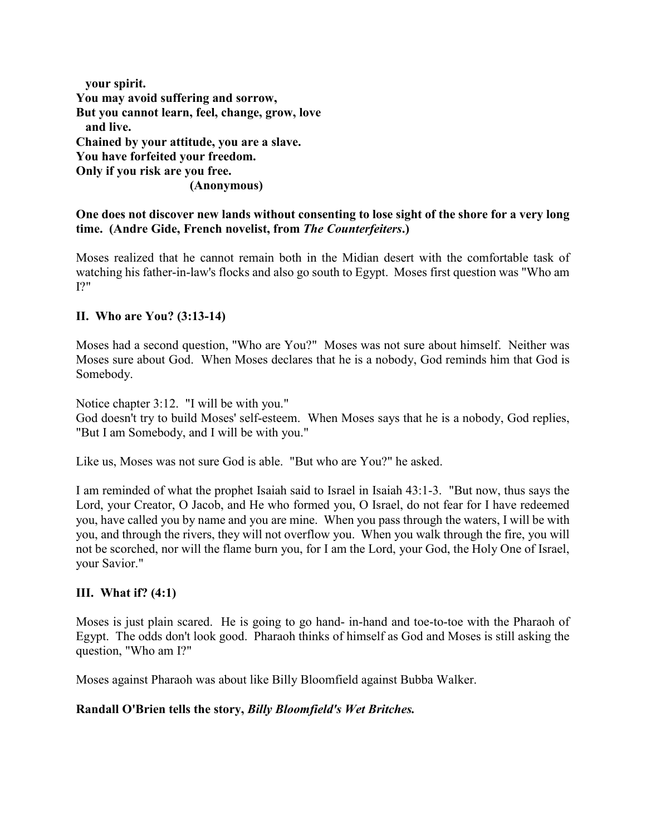| your spirit.                                   |
|------------------------------------------------|
| You may avoid suffering and sorrow,            |
| But you cannot learn, feel, change, grow, love |
| and live.                                      |
| Chained by your attitude, you are a slave.     |
| You have forfeited your freedom.               |
| Only if you risk are you free.                 |
| (Anonymous)                                    |

# **One does not discover new lands without consenting to lose sight of the shore for a very long time. (Andre Gide, French novelist, from** *The Counterfeiters***.)**

Moses realized that he cannot remain both in the Midian desert with the comfortable task of watching his father-in-law's flocks and also go south to Egypt. Moses first question was "Who am  $12"$ 

## **II. Who are You? (3:13-14)**

Moses had a second question, "Who are You?" Moses was not sure about himself. Neither was Moses sure about God. When Moses declares that he is a nobody, God reminds him that God is Somebody.

Notice chapter 3:12. "I will be with you."

God doesn't try to build Moses' self-esteem. When Moses says that he is a nobody, God replies, "But I am Somebody, and I will be with you."

Like us, Moses was not sure God is able. "But who are You?" he asked.

I am reminded of what the prophet Isaiah said to Israel in Isaiah 43:1-3. "But now, thus says the Lord, your Creator, O Jacob, and He who formed you, O Israel, do not fear for I have redeemed you, have called you by name and you are mine. When you pass through the waters, I will be with you, and through the rivers, they will not overflow you. When you walk through the fire, you will not be scorched, nor will the flame burn you, for I am the Lord, your God, the Holy One of Israel, your Savior."

## **III. What if? (4:1)**

Moses is just plain scared. He is going to go hand- in-hand and toe-to-toe with the Pharaoh of Egypt. The odds don't look good. Pharaoh thinks of himself as God and Moses is still asking the question, "Who am I?"

Moses against Pharaoh was about like Billy Bloomfield against Bubba Walker.

## **Randall O'Brien tells the story,** *Billy Bloomfield's Wet Britches.*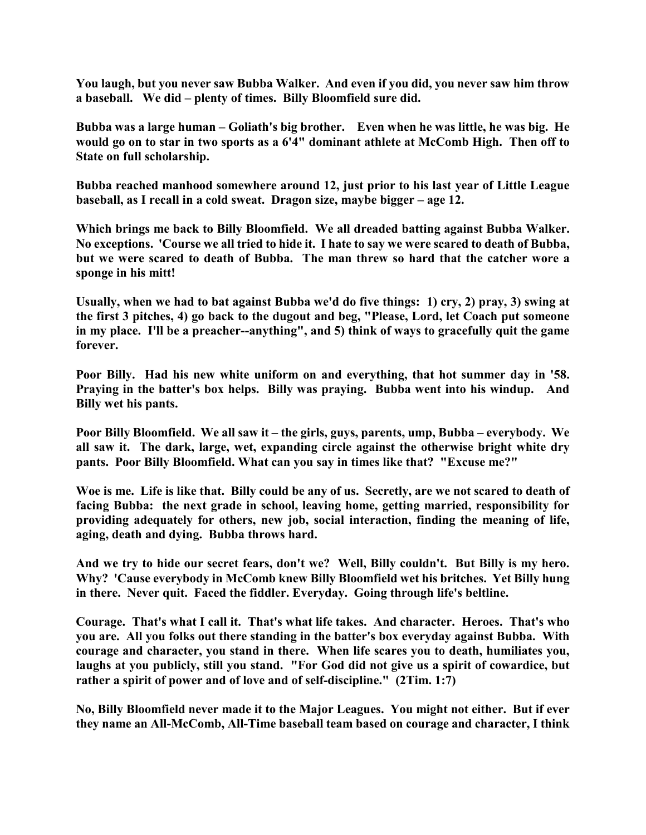**You laugh, but you never saw Bubba Walker. And even if you did, you never saw him throw a baseball. We did – plenty of times. Billy Bloomfield sure did.**

**Bubba was a large human – Goliath's big brother. Even when he was little, he was big. He would go on to star in two sports as a 6'4" dominant athlete at McComb High. Then off to State on full scholarship.**

**Bubba reached manhood somewhere around 12, just prior to his last year of Little League baseball, as I recall in a cold sweat. Dragon size, maybe bigger – age 12.**

**Which brings me back to Billy Bloomfield. We all dreaded batting against Bubba Walker. No exceptions. 'Course we all tried to hide it. I hate to say we were scared to death of Bubba, but we were scared to death of Bubba. The man threw so hard that the catcher wore a sponge in his mitt!**

**Usually, when we had to bat against Bubba we'd do five things: 1) cry, 2) pray, 3) swing at the first 3 pitches, 4) go back to the dugout and beg, "Please, Lord, let Coach put someone in my place. I'll be a preacher--anything", and 5) think of ways to gracefully quit the game forever.**

**Poor Billy. Had his new white uniform on and everything, that hot summer day in '58. Praying in the batter's box helps. Billy was praying. Bubba went into his windup. And Billy wet his pants.**

**Poor Billy Bloomfield. We all saw it – the girls, guys, parents, ump, Bubba – everybody. We all saw it. The dark, large, wet, expanding circle against the otherwise bright white dry pants. Poor Billy Bloomfield. What can you say in times like that? "Excuse me?"**

**Woe is me. Life is like that. Billy could be any of us. Secretly, are we not scared to death of facing Bubba: the next grade in school, leaving home, getting married, responsibility for providing adequately for others, new job, social interaction, finding the meaning of life, aging, death and dying. Bubba throws hard.**

**And we try to hide our secret fears, don't we? Well, Billy couldn't. But Billy is my hero. Why? 'Cause everybody in McComb knew Billy Bloomfield wet his britches. Yet Billy hung in there. Never quit. Faced the fiddler. Everyday. Going through life's beltline.**

**Courage. That's what I call it. That's what life takes. And character. Heroes. That's who you are. All you folks out there standing in the batter's box everyday against Bubba. With courage and character, you stand in there. When life scares you to death, humiliates you, laughs at you publicly, still you stand. "For God did not give us a spirit of cowardice, but rather a spirit of power and of love and of self-discipline." (2Tim. 1:7)**

**No, Billy Bloomfield never made it to the Major Leagues. You might not either. But if ever they name an All-McComb, All-Time baseball team based on courage and character, I think**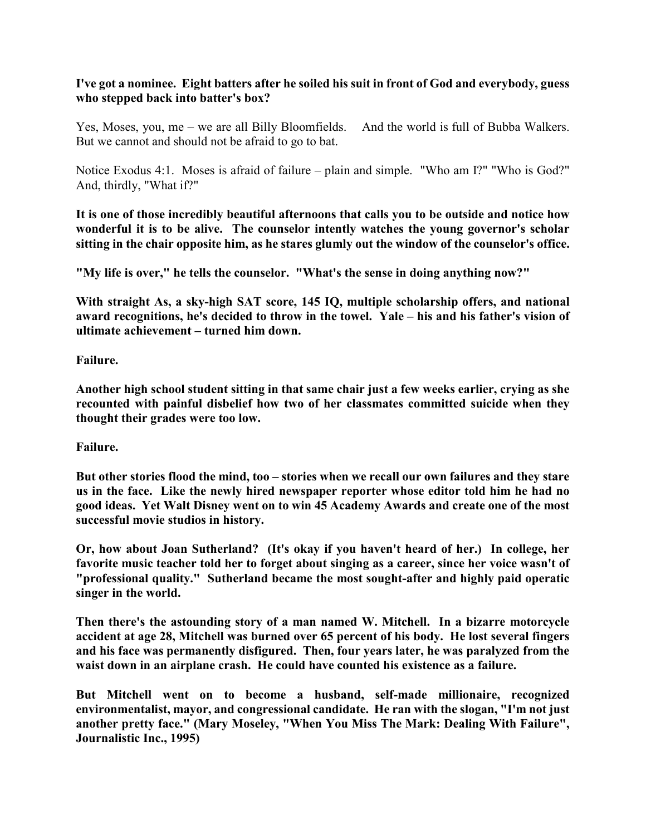## **I've got a nominee. Eight batters after he soiled his suit in front of God and everybody, guess who stepped back into batter's box?**

Yes, Moses, you, me – we are all Billy Bloomfields. And the world is full of Bubba Walkers. But we cannot and should not be afraid to go to bat.

Notice Exodus 4:1. Moses is afraid of failure – plain and simple. "Who am I?" "Who is God?" And, thirdly, "What if?"

**It is one of those incredibly beautiful afternoons that calls you to be outside and notice how wonderful it is to be alive. The counselor intently watches the young governor's scholar sitting in the chair opposite him, as he stares glumly out the window of the counselor's office.**

**"My life is over," he tells the counselor. "What's the sense in doing anything now?"**

**With straight As, a sky-high SAT score, 145 IQ, multiple scholarship offers, and national award recognitions, he's decided to throw in the towel. Yale – his and his father's vision of ultimate achievement – turned him down.**

**Failure.**

**Another high school student sitting in that same chair just a few weeks earlier, crying as she recounted with painful disbelief how two of her classmates committed suicide when they thought their grades were too low.**

**Failure.**

**But other stories flood the mind, too – stories when we recall our own failures and they stare us in the face. Like the newly hired newspaper reporter whose editor told him he had no good ideas. Yet Walt Disney went on to win 45 Academy Awards and create one of the most successful movie studios in history.**

**Or, how about Joan Sutherland? (It's okay if you haven't heard of her.) In college, her favorite music teacher told her to forget about singing as a career, since her voice wasn't of "professional quality." Sutherland became the most sought-after and highly paid operatic singer in the world.**

**Then there's the astounding story of a man named W. Mitchell. In a bizarre motorcycle accident at age 28, Mitchell was burned over 65 percent of his body. He lost several fingers and his face was permanently disfigured. Then, four years later, he was paralyzed from the waist down in an airplane crash. He could have counted his existence as a failure.**

**But Mitchell went on to become a husband, self-made millionaire, recognized environmentalist, mayor, and congressional candidate. He ran with the slogan, "I'm not just another pretty face." (Mary Moseley, "When You Miss The Mark: Dealing With Failure", Journalistic Inc., 1995)**